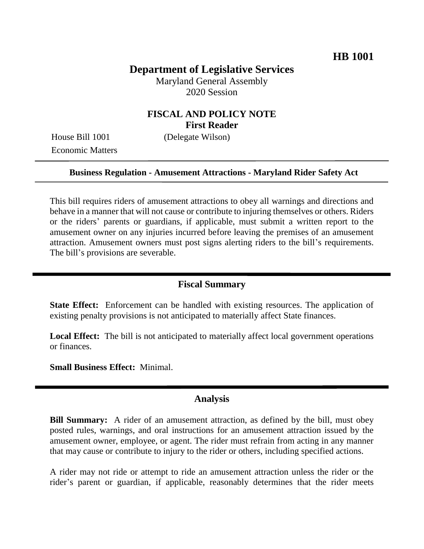# **Department of Legislative Services**

Maryland General Assembly 2020 Session

### **FISCAL AND POLICY NOTE First Reader**

Economic Matters

House Bill 1001 (Delegate Wilson)

#### **Business Regulation - Amusement Attractions - Maryland Rider Safety Act**

This bill requires riders of amusement attractions to obey all warnings and directions and behave in a manner that will not cause or contribute to injuring themselves or others. Riders or the riders' parents or guardians, if applicable, must submit a written report to the amusement owner on any injuries incurred before leaving the premises of an amusement attraction. Amusement owners must post signs alerting riders to the bill's requirements. The bill's provisions are severable.

### **Fiscal Summary**

**State Effect:** Enforcement can be handled with existing resources. The application of existing penalty provisions is not anticipated to materially affect State finances.

**Local Effect:** The bill is not anticipated to materially affect local government operations or finances.

**Small Business Effect:** Minimal.

#### **Analysis**

**Bill Summary:** A rider of an amusement attraction, as defined by the bill, must obey posted rules, warnings, and oral instructions for an amusement attraction issued by the amusement owner, employee, or agent. The rider must refrain from acting in any manner that may cause or contribute to injury to the rider or others, including specified actions.

A rider may not ride or attempt to ride an amusement attraction unless the rider or the rider's parent or guardian, if applicable, reasonably determines that the rider meets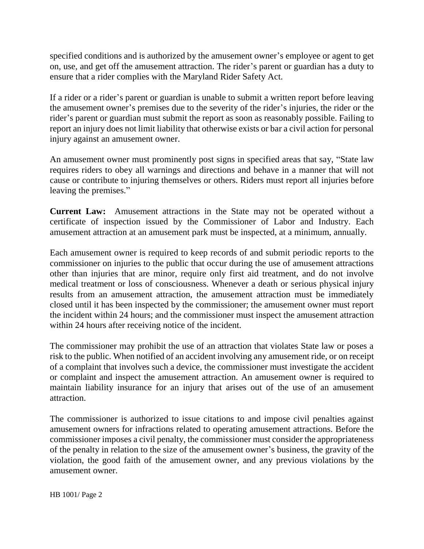specified conditions and is authorized by the amusement owner's employee or agent to get on, use, and get off the amusement attraction. The rider's parent or guardian has a duty to ensure that a rider complies with the Maryland Rider Safety Act.

If a rider or a rider's parent or guardian is unable to submit a written report before leaving the amusement owner's premises due to the severity of the rider's injuries, the rider or the rider's parent or guardian must submit the report as soon as reasonably possible. Failing to report an injury does not limit liability that otherwise exists or bar a civil action for personal injury against an amusement owner.

An amusement owner must prominently post signs in specified areas that say, "State law requires riders to obey all warnings and directions and behave in a manner that will not cause or contribute to injuring themselves or others. Riders must report all injuries before leaving the premises."

**Current Law:** Amusement attractions in the State may not be operated without a certificate of inspection issued by the Commissioner of Labor and Industry. Each amusement attraction at an amusement park must be inspected, at a minimum, annually.

Each amusement owner is required to keep records of and submit periodic reports to the commissioner on injuries to the public that occur during the use of amusement attractions other than injuries that are minor, require only first aid treatment, and do not involve medical treatment or loss of consciousness. Whenever a death or serious physical injury results from an amusement attraction, the amusement attraction must be immediately closed until it has been inspected by the commissioner; the amusement owner must report the incident within 24 hours; and the commissioner must inspect the amusement attraction within 24 hours after receiving notice of the incident.

The commissioner may prohibit the use of an attraction that violates State law or poses a risk to the public. When notified of an accident involving any amusement ride, or on receipt of a complaint that involves such a device, the commissioner must investigate the accident or complaint and inspect the amusement attraction. An amusement owner is required to maintain liability insurance for an injury that arises out of the use of an amusement attraction.

The commissioner is authorized to issue citations to and impose civil penalties against amusement owners for infractions related to operating amusement attractions. Before the commissioner imposes a civil penalty, the commissioner must consider the appropriateness of the penalty in relation to the size of the amusement owner's business, the gravity of the violation, the good faith of the amusement owner, and any previous violations by the amusement owner.